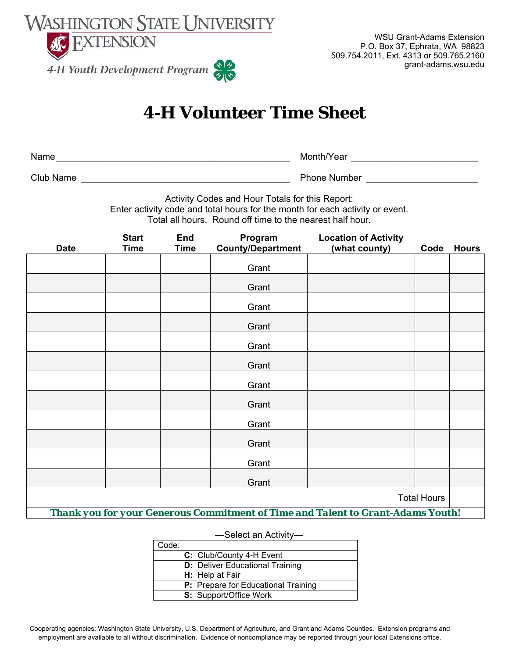

WSU Grant-Adams Extension P.O. Box 37, Ephrata, WA 98823 509.754.2011, Ext. 4313 or 509.765.2160 grant-adams.wsu.edu

# **4-H Volunteer Time Sheet**

| Name             | Month/Year          |
|------------------|---------------------|
| <b>Club Name</b> | <b>Phone Number</b> |

Activity Codes and Hour Totals for this Report:

Enter activity code and total hours for the month for each activity or event.

Total all hours. Round off time to the nearest half hour.

| <b>Date</b>                                                                     | <b>Start</b><br><b>Time</b> | <b>End</b><br><b>Time</b> | Program<br><b>County/Department</b> | <b>Location of Activity</b><br>(what county) | Code | <b>Hours</b> |
|---------------------------------------------------------------------------------|-----------------------------|---------------------------|-------------------------------------|----------------------------------------------|------|--------------|
|                                                                                 |                             |                           |                                     |                                              |      |              |
|                                                                                 |                             |                           | Grant                               |                                              |      |              |
|                                                                                 |                             |                           | Grant                               |                                              |      |              |
|                                                                                 |                             |                           | Grant                               |                                              |      |              |
|                                                                                 |                             |                           | Grant                               |                                              |      |              |
|                                                                                 |                             |                           | Grant                               |                                              |      |              |
|                                                                                 |                             |                           | Grant                               |                                              |      |              |
|                                                                                 |                             |                           | Grant                               |                                              |      |              |
|                                                                                 |                             |                           | Grant                               |                                              |      |              |
|                                                                                 |                             |                           | Grant                               |                                              |      |              |
|                                                                                 |                             |                           | Grant                               |                                              |      |              |
|                                                                                 |                             |                           | Grant                               |                                              |      |              |
|                                                                                 |                             |                           | Grant                               |                                              |      |              |
| <b>Total Hours</b>                                                              |                             |                           |                                     |                                              |      |              |
| Thank you for your Generous Commitment of Time and Talent to Grant-Adams Youth! |                             |                           |                                     |                                              |      |              |

#### —Select an Activity—

| Code: |                                            |
|-------|--------------------------------------------|
|       | C: Club/County 4-H Event                   |
|       | <b>D:</b> Deliver Educational Training     |
|       | H: Help at Fair                            |
|       | <b>P:</b> Prepare for Educational Training |
|       | <b>S:</b> Support/Office Work              |

Cooperating agencies: Washington State University, U.S. Department of Agriculture, and Grant and Adams Counties. Extension programs and employment are available to all without discrimination. Evidence of noncompliance may be reported through your local Extensions office.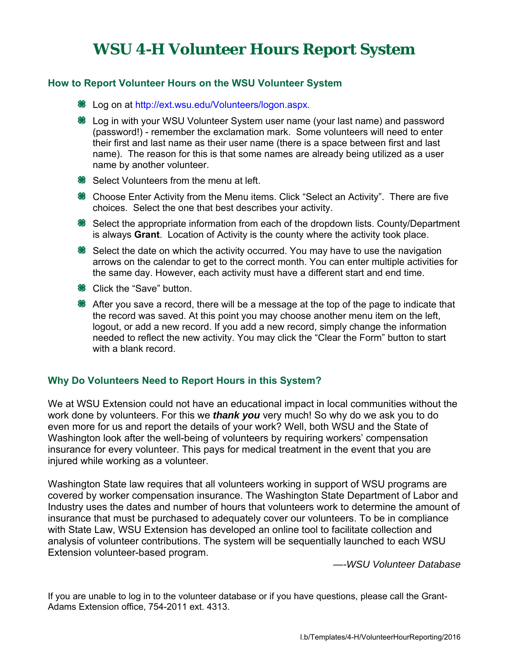### **WSU 4-H Volunteer Hours Report System**

### **How to Report Volunteer Hours on the WSU Volunteer System**

- **※** Log on at http://ext.wsu.edu/Volunteers/logon.aspx.
- Log in with your WSU Volunteer System user name (your last name) and password (password!) - remember the exclamation mark. Some volunteers will need to enter their first and last name as their user name (there is a space between first and last name). The reason for this is that some names are already being utilized as a user name by another volunteer.
- **<sup>●●</sup>** Select Volunteers from the menu at left.
- **Choose Enter Activity from the Menu items. Click "Select an Activity". There are five** choices. Select the one that best describes your activity.
- **<sup>●●</sup> Select the appropriate information from each of the dropdown lists. County/Department** is always **Grant**. Location of Activity is the county where the activity took place.
- **<sup>●</sup>** Select the date on which the activity occurred. You may have to use the navigation arrows on the calendar to get to the correct month. You can enter multiple activities for the same day. However, each activity must have a different start and end time.
- <sup>88</sup> Click the "Save" button.
- <sup>36</sup> After you save a record, there will be a message at the top of the page to indicate that the record was saved. At this point you may choose another menu item on the left, logout, or add a new record. If you add a new record, simply change the information needed to reflect the new activity. You may click the "Clear the Form" button to start with a blank record.

### **Why Do Volunteers Need to Report Hours in this System?**

We at WSU Extension could not have an educational impact in local communities without the work done by volunteers. For this we *thank you* very much! So why do we ask you to do even more for us and report the details of your work? Well, both WSU and the State of Washington look after the well-being of volunteers by requiring workers' compensation insurance for every volunteer. This pays for medical treatment in the event that you are injured while working as a volunteer.

Washington State law requires that all volunteers working in support of WSU programs are covered by worker compensation insurance. The Washington State Department of Labor and Industry uses the dates and number of hours that volunteers work to determine the amount of insurance that must be purchased to adequately cover our volunteers. To be in compliance with State Law, WSU Extension has developed an online tool to facilitate collection and analysis of volunteer contributions. The system will be sequentially launched to each WSU Extension volunteer-based program.

*—-WSU Volunteer Database*

If you are unable to log in to the volunteer database or if you have questions, please call the Grant-Adams Extension office, 754-2011 ext. 4313.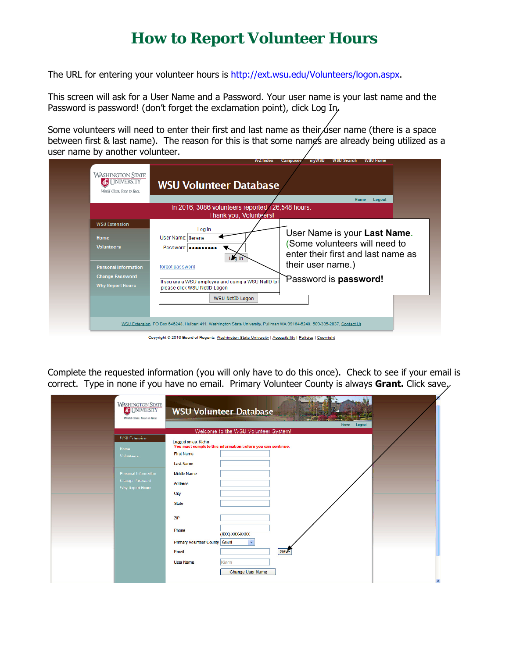## **How to Report Volunteer Hours**

The URL for entering your volunteer hours is http://ext.wsu.edu/Volunteers/logon.aspx.

This screen will ask for a User Name and a Password. Your user name is your last name and the Password is password! (don't forget the exclamation point), click Log In,

Some volunteers will need to enter their first and last name as their user name (there is a space between first & last name). The reason for this is that some names are already being utilized as a user name by another volunteer.

| <b>WASHINGTON STATE</b><br><b>AT I INIVERSITY</b><br>World Class. Face to Face. | <b>WSU Volunteer Database</b>                                                                                           |                                                                    |
|---------------------------------------------------------------------------------|-------------------------------------------------------------------------------------------------------------------------|--------------------------------------------------------------------|
|                                                                                 |                                                                                                                         | <b>Home</b><br>Logout                                              |
|                                                                                 | In 2016, 3086 volunteers reported 126,548 hours.<br>Thank you, Volunteers!                                              |                                                                    |
| <b>WSU Extension</b>                                                            |                                                                                                                         |                                                                    |
| Home                                                                            | Log In<br>User Name: Berens                                                                                             | User Name is your Last Name.                                       |
| <b>Volunteers</b>                                                               | Password: occocococ<br>Lua In                                                                                           | Some volunteers will need to<br>enter their first and last name as |
| <b>Personal Information</b>                                                     | forgot password                                                                                                         | their user name.)                                                  |
| <b>Change Password</b>                                                          |                                                                                                                         | Password is password!                                              |
| <b>Why Report Hours</b>                                                         | If you are a WSU employee and using a WSU NetID to<br>please click WSU NetID Logon                                      |                                                                    |
|                                                                                 | WSU NetID Logon                                                                                                         |                                                                    |
|                                                                                 |                                                                                                                         |                                                                    |
|                                                                                 | WSU Extension, PO Box 646248, Hulbert 411, Washington State University, Pullman WA 99164-6248, 509-335-2837, Contact Us |                                                                    |

pyright © 2016 Board of Regents, <u>Washington State University</u> | <u>Accessibility</u> | <u>Policies</u> | <u>Copyright</u>

Complete the requested information (you will only have to do this once). Check to see if your email is correct. Type in none if you have no email. Primary Volunteer County is always **Grant.** Click save.

| <b>WASHINGTON STATE</b><br>World Class, Face to Face.                                                                   | <b>13 N 247</b><br><b>WSU Volunteer Database</b>                                                                                                                                                                                                                                                                                                                                                                  |
|-------------------------------------------------------------------------------------------------------------------------|-------------------------------------------------------------------------------------------------------------------------------------------------------------------------------------------------------------------------------------------------------------------------------------------------------------------------------------------------------------------------------------------------------------------|
|                                                                                                                         | Home<br>Logout                                                                                                                                                                                                                                                                                                                                                                                                    |
| <b>WSILFxtension</b><br>Home<br><b>Volunteers</b><br>Personal Information<br>Change Password<br><b>Why Report Hours</b> | Welcome to the WSU Volunteer System!<br>Logged on as: Kiehn<br>You must complete this information before you can continue.<br><b>First Name</b><br><b>Last Name</b><br><b>Middle Name</b><br><b>Address</b><br>City<br><b>State</b><br>ZIP<br>Phone<br>XXXX-XXXX)<br>$\ddot{\phantom{1}}$<br><b>Primary Volunteer County Grant</b><br>Save<br>Email<br><b>User Name</b><br>Kiehn<br>Change User Name<br>$\bullet$ |